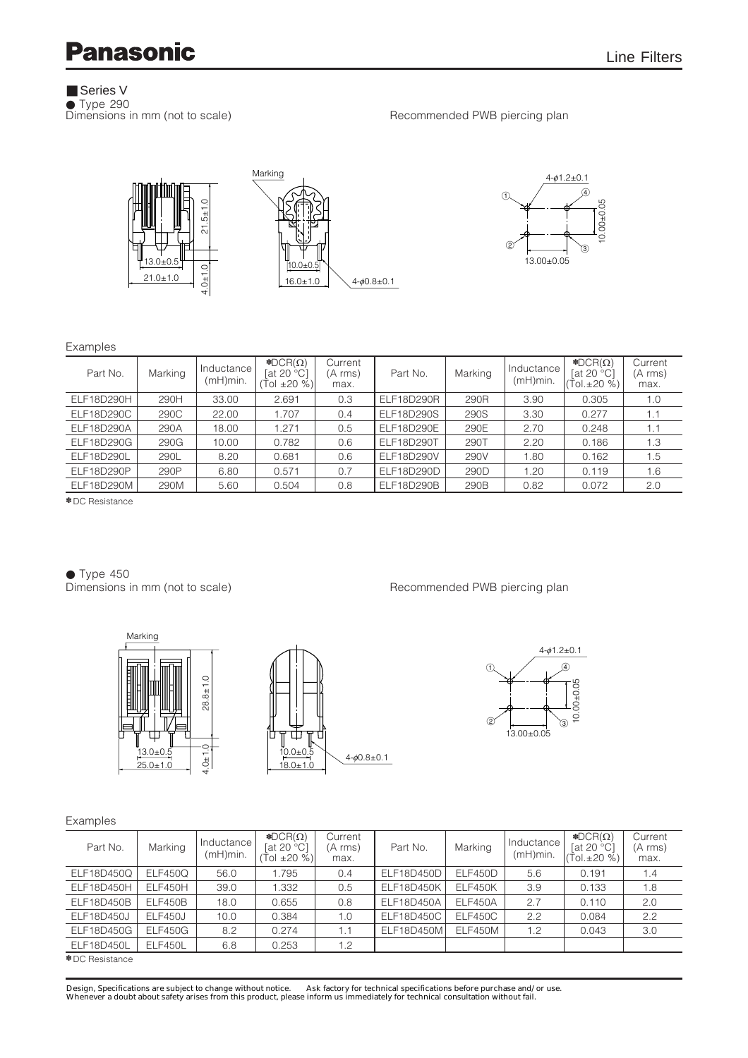## **Panasonic**

■ Series V

■ Price 290<br>● Type 290<br>Dimensions in mm (not to scale)

Recommended PWB piercing plan





### Examples

| Part No.          | Marking | Inductance<br>(mH)min. | $\triangle$ DCR( $\Omega$ )<br>$\left[$ at 20 °C $\right]$<br>$(Tol \pm 20%)$ | Current<br>(A rms)<br>max. | Part No.          | Marking | Inductance<br>(mH)min. | $\triangle$ DCR( $\Omega$ )<br>[at 20 $°C$ ]<br>(Tol.±20 %) | Current<br>(A rms)<br>max. |
|-------------------|---------|------------------------|-------------------------------------------------------------------------------|----------------------------|-------------------|---------|------------------------|-------------------------------------------------------------|----------------------------|
| ELF18D290H        | 290H    | 33.00                  | 2.691                                                                         | 0.3                        | ELF18D290R        | 290R    | 3.90                   | 0.305                                                       | 1.0                        |
| <b>ELF18D290C</b> | 290C    | 22.00                  | 1.707                                                                         | 0.4                        | <b>ELF18D290S</b> | 290S    | 3.30                   | 0.277                                                       | 1.1                        |
| ELF18D290A        | 290A    | 18.00                  | 1.271                                                                         | 0.5                        | ELF18D290E        | 290E    | 2.70                   | 0.248                                                       | 1.1                        |
| <b>ELF18D290G</b> | 290G    | 10.00                  | 0.782                                                                         | 0.6                        | ELF18D290T        | 290T    | 2.20                   | 0.186                                                       | 1.3                        |
| ELF18D290L        | 290L    | 8.20                   | 0.681                                                                         | 0.6                        | ELF18D290V        | 290V    | 1.80                   | 0.162                                                       | 1.5                        |
| ELF18D290P        | 290P    | 6.80                   | 0.571                                                                         | 0.7                        | ELF18D290D        | 290D    | 1.20                   | 0.119                                                       | 1.6                        |
| ELF18D290M        | 290M    | 5.60                   | 0.504                                                                         | 0.8                        | ELF18D290B        | 290B    | 0.82                   | 0.072                                                       | 2.0                        |

✽ DC Resistance

● Type 450<br>Dimensions in mm (not to scale)

Recommended PWB piercing plan







### Examples

| Part No.          | Marking        | Inductance<br>(mH)min. | $\triangle$ DCR( $\Omega$ )<br>[at 20 $°C$ ]<br>Tol ±20 %) | Current<br>(A rms)<br>max. | Part No.          | Marking | Inductance<br>(mH)min. | $\triangle$ DCR( $\Omega$ )<br>[at 20 $°C$ ]<br>Tol. $\pm 20$ %) | Current<br>(A rms)<br>max. |
|-------------------|----------------|------------------------|------------------------------------------------------------|----------------------------|-------------------|---------|------------------------|------------------------------------------------------------------|----------------------------|
| ELF18D450Q        | <b>ELF450Q</b> | 56.0                   | 1.795                                                      | 0.4                        | ELF18D450D        | ELF450D | 5.6                    | 0.191                                                            | 1.4                        |
| ELF18D450H        | ELF450H        | 39.0                   | 1.332                                                      | 0.5                        | ELF18D450K        | ELF450K | 3.9                    | 0.133                                                            | 1.8                        |
| ELF18D450B        | <b>ELF450B</b> | 18.0                   | 0.655                                                      | 0.8                        | ELF18D450A        | ELF450A | 2.7                    | 0.110                                                            | 2.0                        |
| <b>ELF18D450J</b> | ELF450J        | 10.0                   | 0.384                                                      | 1.0                        | <b>ELF18D450C</b> | ELF450C | 2.2                    | 0.084                                                            | 2.2                        |
| <b>ELF18D450G</b> | <b>ELF450G</b> | 8.2                    | 0.274                                                      | 1.1                        | ELF18D450M        | ELF450M | 1.2                    | 0.043                                                            | 3.0                        |
| ELF18D450L        | ELF450L        | 6.8                    | 0.253                                                      | 1.2                        |                   |         |                        |                                                                  |                            |
| * DC Resistance   |                |                        |                                                            |                            |                   |         |                        |                                                                  |                            |

✽ DC Resistance

Design, Specifications are subject to change without notice. Ask factory for technical specifications before purchase and/or use.<br>Whenever a doubt about safety arises from this product, please inform us immediately for tec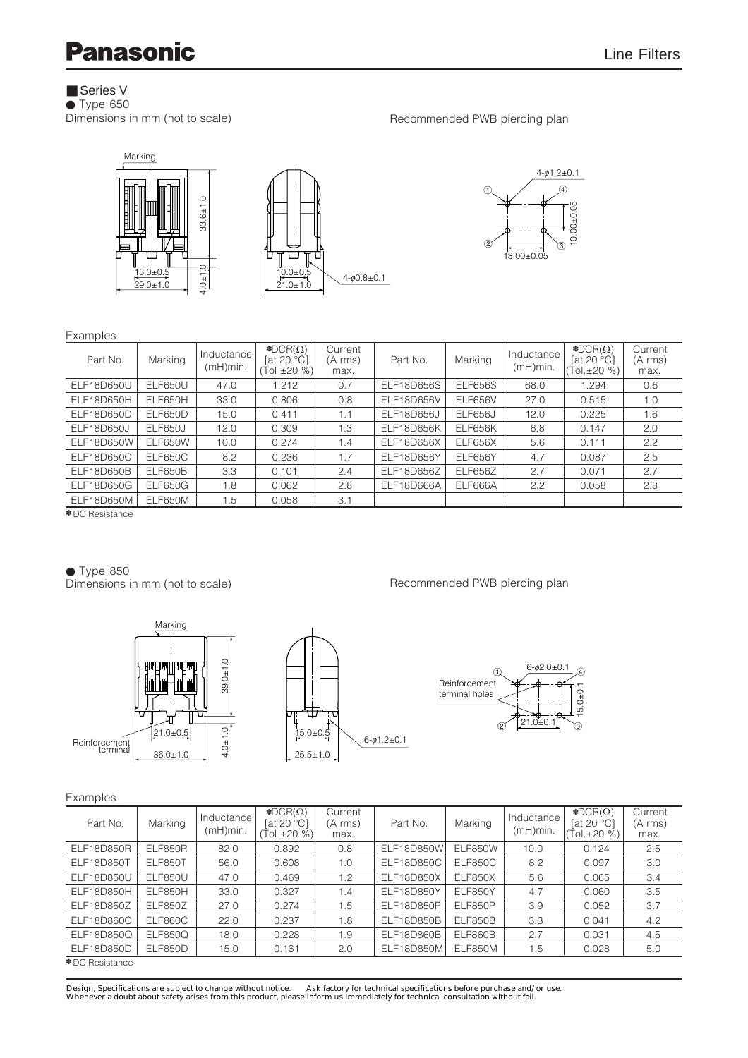# **Panasonic**

## ■ Series V

● Type 650<br>Dimensions in mm (not to scale)



Recommended PWB piercing plan

Recommended PWB piercing plan

5.0<sub>±0</sub>.

 $\sigma$ 



### **Evamples**

| LAUTIPIUS         |                |                        |                                                            |                            |            |                |                        |                                                                  |                            |  |
|-------------------|----------------|------------------------|------------------------------------------------------------|----------------------------|------------|----------------|------------------------|------------------------------------------------------------------|----------------------------|--|
| Part No.          | Marking        | Inductance<br>(mH)min. | $\triangle$ DCR( $\Omega$ )<br>[at 20 $°C$ ]<br>Tol ±20 %) | Current<br>(A rms)<br>max. | Part No.   | Marking        | Inductance<br>(mH)min. | $\triangle$ DCR( $\Omega$ )<br>[at 20 $°C$ ]<br>Tol. $\pm 20 \%$ | Current<br>(A rms)<br>max. |  |
| ELF18D650U        | <b>ELF650U</b> | 47.0                   | 1.212                                                      | 0.7                        | ELF18D656S | ELF656S        | 68.0                   | 1.294                                                            | 0.6                        |  |
| ELF18D650H        | ELF650H        | 33.0                   | 0.806                                                      | 0.8                        | ELF18D656V | ELF656V        | 27.0                   | 0.515                                                            | 1.0                        |  |
| ELF18D650D        | ELF650D        | 15.0                   | 0.411                                                      | 1.1                        | ELF18D656J | <b>ELF656J</b> | 12.0                   | 0.225                                                            | 1.6                        |  |
| <b>ELF18D650J</b> | <b>ELF650J</b> | 12.0                   | 0.309                                                      | 1.3                        | ELF18D656K | ELF656K        | 6.8                    | 0.147                                                            | 2.0                        |  |
| ELF18D650W        | ELF650W        | 10.0                   | 0.274                                                      | 1.4                        | ELF18D656X | ELF656X        | 5.6                    | 0.111                                                            | 2.2                        |  |
| ELF18D650C        | ELF650C        | 8.2                    | 0.236                                                      | 1.7                        | ELF18D656Y | ELF656Y        | 4.7                    | 0.087                                                            | 2.5                        |  |
| ELF18D650B        | ELF650B        | 3.3                    | 0.101                                                      | 2.4                        | ELF18D656Z | ELF656Z        | 2.7                    | 0.071                                                            | 2.7                        |  |
| <b>ELF18D650G</b> | <b>ELF650G</b> | 1.8                    | 0.062                                                      | 2.8                        | ELF18D666A | ELF666A        | $2.2^{\circ}$          | 0.058                                                            | 2.8                        |  |
| ELF18D650M        | ELF650M        | 1.5                    | 0.058                                                      | 3.1                        |            |                |                        |                                                                  |                            |  |
| * DC Resistance   |                |                        |                                                            |                            |            |                |                        |                                                                  |                            |  |

● Type 850<br>Dimensions in mm (not to scale)



### Examples

| Part No.          | Marking        | Inductance<br>$(mH)$ min. | $\triangle$ DCR( $\Omega$ )<br>[at 20 $°C$ ]<br>$(Tol \pm 20 %$ | Current<br>(A rms)<br>max. | Part No.          | Marking | Inductance<br>(mH)min. | $\triangle$ DCR( $\Omega$ )<br>$\lceil \text{at } 20 \text{ °C} \rceil$<br>(Tol.±20 %) | Current<br>(A rms)<br>max. |
|-------------------|----------------|---------------------------|-----------------------------------------------------------------|----------------------------|-------------------|---------|------------------------|----------------------------------------------------------------------------------------|----------------------------|
| ELF18D850R        | ELF850R        | 82.0                      | 0.892                                                           | 0.8                        | ELF18D850W        | ELF850W | 10.0                   | 0.124                                                                                  | 2.5                        |
| ELF18D850T        | ELF850T        | 56.0                      | 0.608                                                           | 1.0                        | <b>ELF18D850C</b> | ELF850C | 8.2                    | 0.097                                                                                  | 3.0                        |
| <b>ELF18D850U</b> | <b>ELF850U</b> | 47.0                      | 0.469                                                           | 1.2                        | ELF18D850X        | ELF850X | 5.6                    | 0.065                                                                                  | 3.4                        |
| ELF18D850H        | ELF850H        | 33.0                      | 0.327                                                           | 1.4                        | ELF18D850Y        | ELF850Y | 4.7                    | 0.060                                                                                  | 3.5                        |
| ELF18D850Z        | <b>ELF850Z</b> | 27.0                      | 0.274                                                           | 1.5                        | ELF18D850P        | ELF850P | 3.9                    | 0.052                                                                                  | 3.7                        |
| ELF18D860C        | ELF860C        | 22.0                      | 0.237                                                           | 1.8                        | ELF18D850B        | ELF850B | 3.3                    | 0.041                                                                                  | $4.2^{\circ}$              |
| ELF18D850Q        | <b>ELF850Q</b> | 18.0                      | 0.228                                                           | 1.9                        | ELF18D860B        | ELF860B | 2.7                    | 0.031                                                                                  | 4.5                        |
| ELF18D850D        | ELF850D        | 15.0                      | 0.161                                                           | 2.0                        | ELF18D850M        | ELF850M | 1.5                    | 0.028                                                                                  | 5.0                        |
| * DC Resistance   |                |                           |                                                                 |                            |                   |         |                        |                                                                                        |                            |

Design, Specifications are subject to change without notice. Ask factory for technical specifications before purchase and/or use.<br>Whenever a doubt about safety arises from this product, please inform us immediately for tec